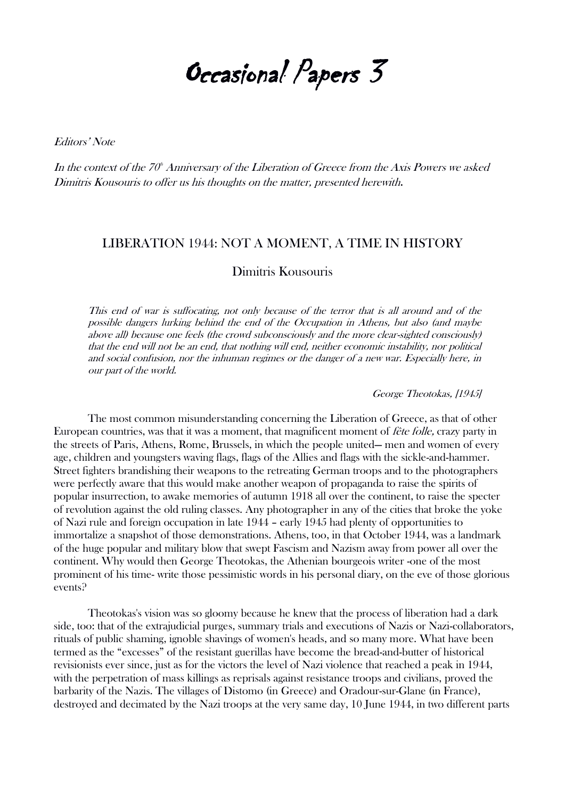Occasional Papers 3

Editors' Note

In the context of the 70<sup>th</sup> Anniversary of the Liberation of Greece from the Axis Powers we asked Dimitris Kousouris to offer us his thoughts on the matter, presented herewith.

## LIBERATION 1944: NOT A MOMENT, A TIME IN HISTORY

Dimitris Kousouris

This end of war is suffocating, not only because of the terror that is all around and of the possible dangers lurking behind the end of the Occupation in Athens, but also (and maybe above all) because one feels (the crowd subconsciously and the more clear-sighted consciously) that the end will not be an end, that nothing will end, neither economic instability, nor political and social confusion, nor the inhuman regimes or the danger of a new war. Especially here, in our part of the world.

George Theotokas, [1945]

The most common misunderstanding concerning the Liberation of Greece, as that of other European countries, was that it was a moment, that magnificent moment of fête folle, crazy party in the streets of Paris, Athens, Rome, Brussels, in which the people united— men and women of every age, children and youngsters waving flags, flags of the Allies and flags with the sickle-and-hammer. Street fighters brandishing their weapons to the retreating German troops and to the photographers were perfectly aware that this would make another weapon of propaganda to raise the spirits of popular insurrection, to awake memories of autumn 1918 all over the continent, to raise the specter of revolution against the old ruling classes. Any photographer in any of the cities that broke the yoke of Nazi rule and foreign occupation in late 1944 – early 1945 had plenty of opportunities to immortalize a snapshot of those demonstrations. Athens, too, in that October 1944, was a landmark of the huge popular and military blow that swept Fascism and Nazism away from power all over the continent. Why would then George Theotokas, the Athenian bourgeois writer -one of the most prominent of his time- write those pessimistic words in his personal diary, on the eve of those glorious events?

Theotokas's vision was so gloomy because he knew that the process of liberation had a dark side, too: that of the extrajudicial purges, summary trials and executions of Nazis or Nazi-collaborators, rituals of public shaming, ignoble shavings of women's heads, and so many more. What have been termed as the "excesses" of the resistant guerillas have become the bread-and-butter of historical revisionists ever since, just as for the victors the level of Nazi violence that reached a peak in 1944, with the perpetration of mass killings as reprisals against resistance troops and civilians, proved the barbarity of the Nazis. The villages of Distomo (in Greece) and Oradour-sur-Glane (in France), destroyed and decimated by the Nazi troops at the very same day, 10 June 1944, in two different parts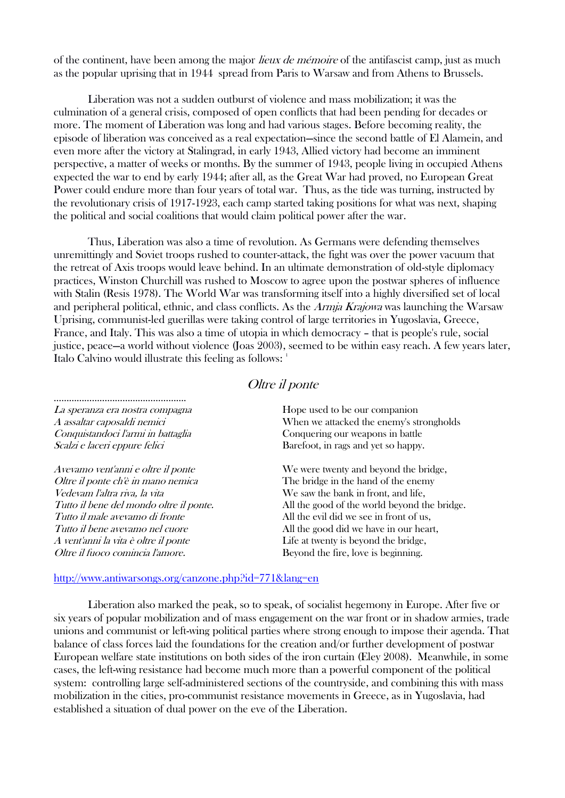of the continent, have been among the major *lieux de mémoire* of the antifascist camp, just as much as the popular uprising that in 1944 spread from Paris to Warsaw and from Athens to Brussels.

Liberation was not a sudden outburst of violence and mass mobilization; it was the culmination of a general crisis, composed of open conflicts that had been pending for decades or more. The moment of Liberation was long and had various stages. Before becoming reality, the episode of liberation was conceived as a real expectation—since the second battle of El Alamein, and even more after the victory at Stalingrad, in early 1943, Allied victory had become an imminent perspective, a matter of weeks or months. By the summer of 1943, people living in occupied Athens expected the war to end by early 1944; after all, as the Great War had proved, no European Great Power could endure more than four years of total war. Thus, as the tide was turning, instructed by the revolutionary crisis of 1917-1923, each camp started taking positions for what was next, shaping the political and social coalitions that would claim political power after the war.

Thus, Liberation was also a time of revolution. As Germans were defending themselves unremittingly and Soviet troops rushed to counter-attack, the fight was over the power vacuum that the retreat of Axis troops would leave behind. In an ultimate demonstration of old-style diplomacy practices, Winston Churchill was rushed to Moscow to agree upon the postwar spheres of influence with Stalin (Resis 1978). The World War was transforming itself into a highly diversified set of local and peripheral political, ethnic, and class conflicts. As the Armja Krajowa was launching the Warsaw Uprising, communist-led guerillas were taking control of large territories in Yugoslavia, Greece, France, and Italy. This was also a time of utopia in which democracy – that is people's rule, social justice, peace—a world without violence (Joas 2003), seemed to be within easy reach. A few years later, Italo Calvino would illustrate this feeling as follows: 1

# Oltre il ponte

| La speranza era nostra compagna         | Hope used to be our companion                |
|-----------------------------------------|----------------------------------------------|
| A assaltar caposaldi nemici             | When we attacked the enemy's strongholds     |
| Conquistandoci l'armi in battaglia      | Conquering our weapons in battle             |
| Scalzi e laceri eppure felici           | Barefoot, in rags and yet so happy.          |
| Avevamo vent'anni e oltre il ponte      | We were twenty and beyond the bridge,        |
| Oltre il ponte ch'è in mano nemica      | The bridge in the hand of the enemy          |
| Vedevam l'altra riva, la vita           | We saw the bank in front, and life,          |
| Tutto il bene del mondo oltre il ponte. | All the good of the world beyond the bridge. |
| Tutto il male avevamo di fronte         | All the evil did we see in front of us,      |
| Tutto il bene avevamo nel cuore         | All the good did we have in our heart,       |
| A vent'anni la vita è oltre il ponte    | Life at twenty is beyond the bridge,         |
| Oltre il fuoco comincia l'amore.        | Beyond the fire, love is beginning.          |

# <http://www.antiwarsongs.org/canzone.php?id=771&lang=en>

Liberation also marked the peak, so to speak, of socialist hegemony in Europe. After five or six years of popular mobilization and of mass engagement on the war front or in shadow armies, trade unions and communist or left-wing political parties where strong enough to impose their agenda. That balance of class forces laid the foundations for the creation and/or further development of postwar European welfare state institutions on both sides of the iron curtain (Eley 2008). Meanwhile, in some cases, the left-wing resistance had become much more than a powerful component of the political system: controlling large self-administered sections of the countryside, and combining this with mass mobilization in the cities, pro-communist resistance movements in Greece, as in Yugoslavia, had established a situation of dual power on the eve of the Liberation.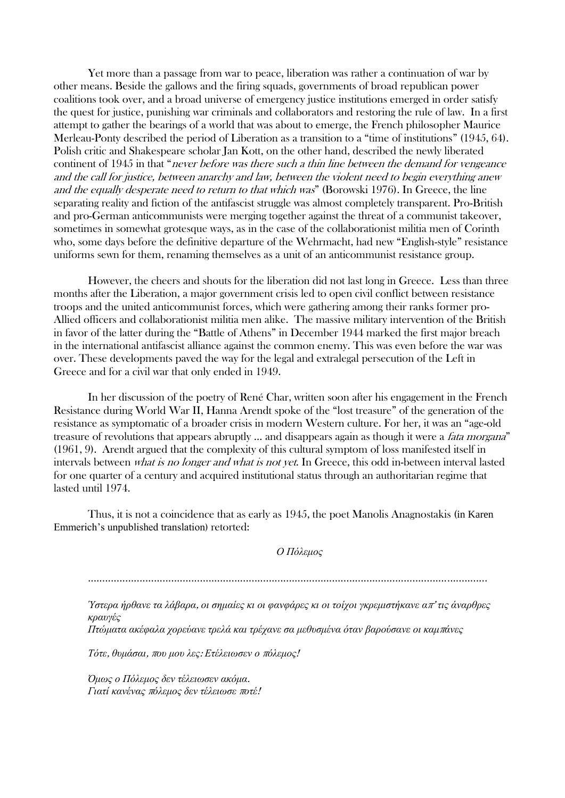Yet more than a passage from war to peace, liberation was rather a continuation of war by other means. Beside the gallows and the firing squads, governments of broad republican power coalitions took over, and a broad universe of emergency justice institutions emerged in order satisfy the quest for justice, punishing war criminals and collaborators and restoring the rule of law. In a first attempt to gather the bearings of a world that was about to emerge, the French philosopher Maurice Merleau-Ponty described the period of Liberation as a transition to a "time of institutions" (1945, 64). Polish critic and Shakespeare scholar Jan Kott, on the other hand, described the newly liberated continent of 1945 in that "never before was there such a thin line between the demand for vengeance and the call for justice, between anarchy and law, between the violent need to begin everything anew and the equally desperate need to return to that which was" (Borowski 1976). In Greece, the line separating reality and fiction of the antifascist struggle was almost completely transparent. Pro-British and pro-German anticommunists were merging together against the threat of a communist takeover, sometimes in somewhat grotesque ways, as in the case of the collaborationist militia men of Corinth who, some days before the definitive departure of the Wehrmacht, had new "English-style" resistance uniforms sewn for them, renaming themselves as a unit of an anticommunist resistance group.

However, the cheers and shouts for the liberation did not last long in Greece. Less than three months after the Liberation, a major government crisis led to open civil conflict between resistance troops and the united anticommunist forces, which were gathering among their ranks former pro-Allied officers and collaborationist militia men alike. The massive military intervention of the British in favor of the latter during the "Battle of Athens" in December 1944 marked the first major breach in the international antifascist alliance against the common enemy. This was even before the war was over. These developments paved the way for the legal and extralegal persecution of the Left in Greece and for a civil war that only ended in 1949.

In her discussion of the poetry of René Char, written soon after his engagement in the French Resistance during World War II, Hanna Arendt spoke of the "lost treasure" of the generation of the resistance as symptomatic of a broader crisis in modern Western culture. For her, it was an "age-old treasure of revolutions that appears abruptly ... and disappears again as though it were a *fata morgana*" (1961, 9). Arendt argued that the complexity of this cultural symptom of loss manifested itself in intervals between what is no longer and what is not yet. In Greece, this odd in-between interval lasted for one quarter of a century and acquired institutional status through an authoritarian regime that lasted until 1974.

Thus, it is not a coincidence that as early as 1945, the poet Manolis Anagnostakis (in Karen Emmerich's unpublished translation) retorted:

#### *Ο Πόλεμος*

...........................................................................................................................................

*Ύστερα ήρθανε τα λάβαρα*, *οι σημαίες κι οι φανφάρες κι οι τοίχοι γκρεμιστήκανε α*π' *τις άναρθρες κραυγές*

*Πτώματα ακέφαλα χορεύανε τρελά και τρέχανε σα μεθυσμένα όταν βαρούσανε οι καμ*π*άνες*

*Τότε*, *θυμάσαι*, <sup>π</sup>*ου μου λες*: *Ετέλειωσεν ο* <sup>π</sup>*όλεμος*!

*Όμως ο Πόλεμος δεν τέλειωσεν ακόμα*. *Γιατί κανένας* <sup>π</sup>*όλεμος δεν τέλειωσε* <sup>π</sup>*οτέ*!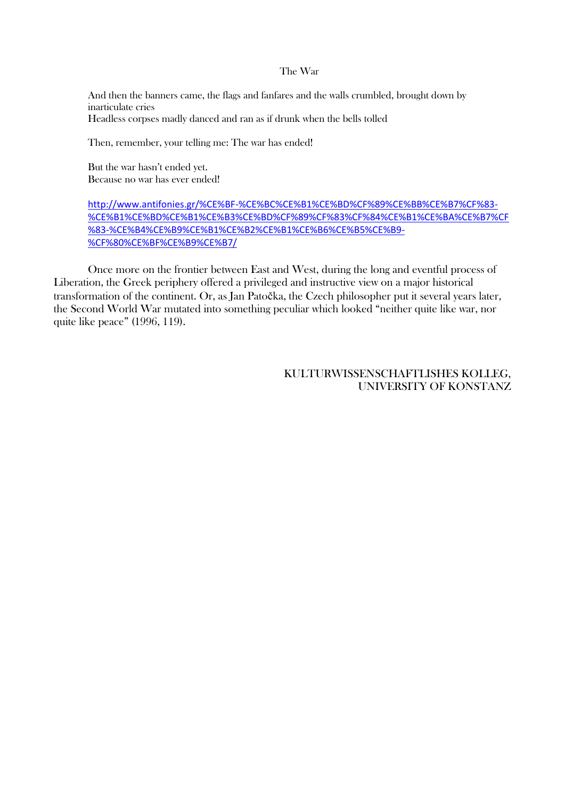#### The War

And then the banners came, the flags and fanfares and the walls crumbled, brought down by inarticulate cries Headless corpses madly danced and ran as if drunk when the bells tolled

Then, remember, your telling me: The war has ended!

But the war hasn't ended yet. Because no war has ever ended!

# [http://www.antifonies.gr/%CE%BF-%CE%BC%CE%B1%CE%BD%CF%89%CE%BB%CE%B7%CF%83-](http://www.antifonies.gr/%CE%BF-%CE%BC%CE%B1%CE%BD%CF%89%CE%BB%CE%B7%CF%83-%CE%B1%CE%BD%CE%B1%CE%B3%CE%BD%CF%89%CF%83%CF%84%CE%B1%CE%BA%CE%B7%CF%83-%CE%B4%CE%B9%CE%B1%CE%B2%CE%B1%CE%B6%CE%B5%CE%B9-%CF%80%CE%BF%CE%B9%CE%B7/) [%CE%B1%CE%BD%CE%B1%CE%B3%CE%BD%CF%89%CF%83%CF%84%CE%B1%CE%BA%CE%B7%CF](http://www.antifonies.gr/%CE%BF-%CE%BC%CE%B1%CE%BD%CF%89%CE%BB%CE%B7%CF%83-%CE%B1%CE%BD%CE%B1%CE%B3%CE%BD%CF%89%CF%83%CF%84%CE%B1%CE%BA%CE%B7%CF%83-%CE%B4%CE%B9%CE%B1%CE%B2%CE%B1%CE%B6%CE%B5%CE%B9-%CF%80%CE%BF%CE%B9%CE%B7/) [%83-%CE%B4%CE%B9%CE%B1%CE%B2%CE%B1%CE%B6%CE%B5%CE%B9-](http://www.antifonies.gr/%CE%BF-%CE%BC%CE%B1%CE%BD%CF%89%CE%BB%CE%B7%CF%83-%CE%B1%CE%BD%CE%B1%CE%B3%CE%BD%CF%89%CF%83%CF%84%CE%B1%CE%BA%CE%B7%CF%83-%CE%B4%CE%B9%CE%B1%CE%B2%CE%B1%CE%B6%CE%B5%CE%B9-%CF%80%CE%BF%CE%B9%CE%B7/) [%CF%80%CE%BF%CE%B9%CE%B7/](http://www.antifonies.gr/%CE%BF-%CE%BC%CE%B1%CE%BD%CF%89%CE%BB%CE%B7%CF%83-%CE%B1%CE%BD%CE%B1%CE%B3%CE%BD%CF%89%CF%83%CF%84%CE%B1%CE%BA%CE%B7%CF%83-%CE%B4%CE%B9%CE%B1%CE%B2%CE%B1%CE%B6%CE%B5%CE%B9-%CF%80%CE%BF%CE%B9%CE%B7/)

Once more on the frontier between East and West, during the long and eventful process of Liberation, the Greek periphery offered a privileged and instructive view on a major historical transformation of the continent. Or, as Jan Patočka, the Czech philosopher put it several years later, the Second World War mutated into something peculiar which looked "neither quite like war, nor quite like peace" (1996, 119).

# KULTURWISSENSCHAFTLISHES KOLLEG, UNIVERSITY OF KONSTANZ